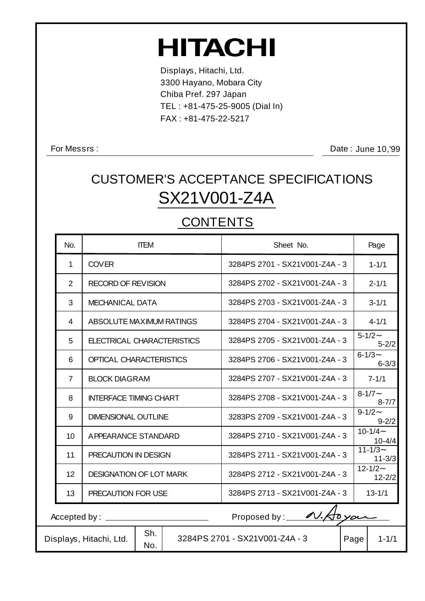# **HITACHI**

Displays, Hitachi, Ltd. 3300 Hayano, Mobara City Chiba Pref. 297 Japan TEL : +81-475-25-9005 (Dial In) FAX : +81-475-22-5217

For Messrs :

Date: June 10,'99

## SX21V001-Z4A CUSTOMER'S ACCEPTANCE SPECIFICATIONS

### **CONTENTS**

| No.                                             | <b>ITEM</b>                           | Sheet No.                      | Page                       |  |  |
|-------------------------------------------------|---------------------------------------|--------------------------------|----------------------------|--|--|
| $\mathbf{1}$                                    | <b>COVER</b>                          | 3284PS 2701 - SX21V001-Z4A - 3 | $1 - 1/1$                  |  |  |
| 2                                               | <b>RECORD OF REVISION</b>             | 3284PS 2702 - SX21V001-Z4A - 3 | $2 - 1/1$                  |  |  |
| 3                                               | <b>MECHANICAL DATA</b>                | 3284PS 2703 - SX21V001-Z4A - 3 | $3 - 1/1$                  |  |  |
| $\overline{4}$                                  | ABSOLUTE MAXIMUM RATINGS              | 3284PS 2704 - SX21V001-Z4A - 3 | $4 - 1/1$                  |  |  |
| 5                                               | ELECTRICAL CHARACTERISTICS            | 3284PS 2705 - SX21V001-Z4A - 3 | $5 - 1/2$<br>$5 - 2/2$     |  |  |
| 6                                               | <b>OPTICAL CHARACTERISTICS</b>        | 3284PS 2706 - SX21V001-Z4A - 3 | $6 - 1/3$<br>$6 - 3/3$     |  |  |
| $\overline{7}$                                  | <b>BLOCK DIAGRAM</b>                  | 3284PS 2707 - SX21V001-Z4A - 3 | $7 - 1/1$                  |  |  |
| 8                                               | <b>INTERFACE TIMING CHART</b>         | 3284PS 2708 - SX21V001-Z4A - 3 | $8 - 1/7 -$<br>$8 - 7/7$   |  |  |
| 9                                               | <b>DIMENSIONAL OUTLINE</b>            | 3283PS 2709 - SX21V001-Z4A - 3 | $9 - 1/2$<br>$9 - 2/2$     |  |  |
| 10 <sup>1</sup>                                 | APPEARANCE STANDARD                   | 3284PS 2710 - SX21V001-Z4A - 3 | $10 - 1/4 -$<br>$10 - 4/4$ |  |  |
| 11                                              | PRECAUTION IN DESIGN                  | 3284PS 2711 - SX21V001-Z4A - 3 | $11 - 1/3$<br>$11 - 3/3$   |  |  |
| 12                                              | <b>DESIGNATION OF LOT MARK</b>        | 3284PS 2712 - SX21V001-Z4A - 3 | $12 - 1/2 -$<br>$12 - 2/2$ |  |  |
| 13                                              | PRECAUTION FOR USE                    | 3284PS 2713 - SX21V001-Z4A - 3 | $13 - 1/1$                 |  |  |
| Proposed by: 1.50 your<br>Accepted by: ________ |                                       |                                |                            |  |  |
|                                                 | Sh.<br>Displays, Hitachi, Ltd.<br>No. | 3284PS 2701 - SX21V001-Z4A - 3 | Page  <br>$1 - 1/1$        |  |  |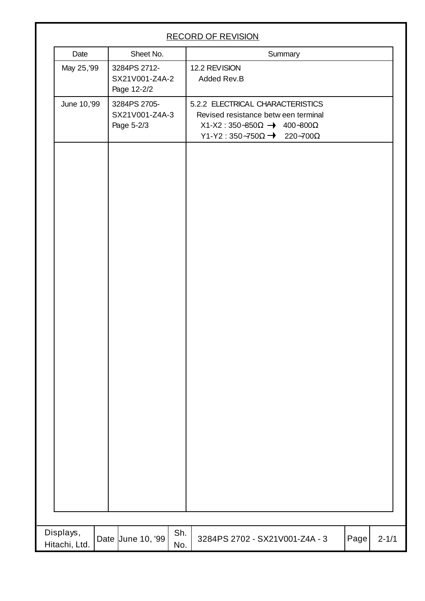|                            | <b>RECORD OF REVISION</b> |                                               |            |                                                                                                                                                                                    |      |           |
|----------------------------|---------------------------|-----------------------------------------------|------------|------------------------------------------------------------------------------------------------------------------------------------------------------------------------------------|------|-----------|
| Date                       |                           | Sheet No.                                     |            | Summary                                                                                                                                                                            |      |           |
| May 25, '99                |                           | 3284PS 2712-<br>SX21V001-Z4A-2<br>Page 12-2/2 |            | 12.2 REVISION<br>Added Rev.B                                                                                                                                                       |      |           |
| June 10, 99                |                           | 3284PS 2705-<br>SX21V001-Z4A-3<br>Page 5-2/3  |            | 5.2.2 ELECTRICAL CHARACTERISTICS<br>Revised resistance betw een terminal<br>$X1-X2: 350-850\Omega \rightarrow 400-800\Omega$<br>Y1-Y2: $350\overline{-750\Omega}$ 220~700 $\Omega$ |      |           |
|                            |                           |                                               |            |                                                                                                                                                                                    |      |           |
| Displays,<br>Hitachi, Ltd. |                           | Date June 10, '99                             | Sh.<br>No. | 3284PS 2702 - SX21V001-Z4A - 3                                                                                                                                                     | Page | $2 - 1/1$ |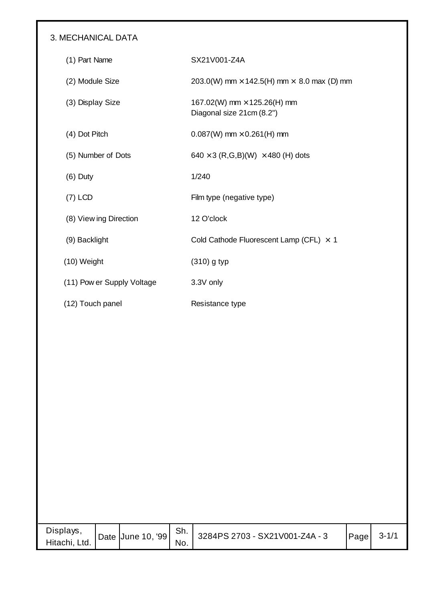#### 3. MECHANICAL DATA

| (1) Part Name              | SX21V001-Z4A                                                    |
|----------------------------|-----------------------------------------------------------------|
| (2) Module Size            | 203.0(W) mm $\times$ 142.5(H) mm $\times$ 8.0 max (D) mm        |
| (3) Display Size           | 167.02(W) mm $\times$ 125.26(H) mm<br>Diagonal size 21cm (8.2") |
| (4) Dot Pitch              | $0.087(W)$ mm $\times$ 0.261(H) mm                              |
| (5) Number of Dots         | 640 $\times$ 3 (R,G,B)(W) $\times$ 480 (H) dots                 |
| $(6)$ Duty                 | 1/240                                                           |
| $(7)$ LCD                  | Film type (negative type)                                       |
| (8) View ing Direction     | 12 O'clock                                                      |
| (9) Backlight              | Cold Cathode Fluorescent Lamp (CFL) $\times$ 1                  |
| (10) Weight                | $(310)$ g typ                                                   |
| (11) Pow er Supply Voltage | 3.3V only                                                       |
| (12) Touch panel           | Resistance type                                                 |

| Displays,<br>Hitachi, Ltd. | Date June 10, '99 Sh. | No. | 3284PS 2703 - SX21V001-Z4A - 3 | Page | $3 - 1/1$ |
|----------------------------|-----------------------|-----|--------------------------------|------|-----------|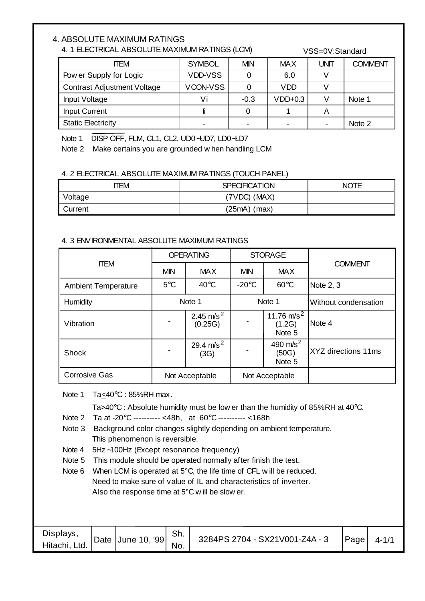#### 4. ABSOLUTE MAXIMUM RATINGS

#### 4. 1 ELECTRICAL ABSOLUTE MAXIMUM RATINGS (LCM)

VSS=0V:Standard

| <b>ITEM</b>                        | <b>SYMBOL</b>  | <b>MIN</b> | <b>MAX</b> | UNIT | <b>COMMENT</b> |
|------------------------------------|----------------|------------|------------|------|----------------|
| Pow er Supply for Logic            | <b>VDD-VSS</b> |            | 6.0        |      |                |
| <b>Contrast Adjustment Voltage</b> | VCON-VSS       |            | <b>VDD</b> |      |                |
| Input Voltage                      | Vi             | $-0.3$     | $VDD+0.3$  |      | Note 1         |
| <b>Input Current</b>               |                |            |            | A    |                |
| <b>Static Electricity</b>          |                |            |            | $\,$ | Note 2         |

Note 1 DISP OFF, FLM, CL1, CL2, UD0∼UD7, LD0∼LD7

Note 2 Make certains you are grounded w hen handling LCM

#### 4. 2 ELECTRICAL ABSOLUTE MAXIMUM RATINGS (TOUCH PANEL)

| ITEM           | <b>SPECIFICATION</b> | <b>NOTE</b> |
|----------------|----------------------|-------------|
| Voltage        | $(7VDC)$ $(MAX)$     |             |
| <b>Current</b> | $(25mA)$ (max)       |             |

#### 4. 3 ENVIRONMENTAL ABSOLUTE MAXIMUM RATINGS

|                            | <b>OPERATING</b>                                     |                         |                                | <b>STORAGE</b>                    |                      |  |
|----------------------------|------------------------------------------------------|-------------------------|--------------------------------|-----------------------------------|----------------------|--|
| <b>ITEM</b>                | <b>MIN</b>                                           | <b>MAX</b>              | <b>MIN</b>                     | <b>MAX</b>                        | <b>COMMENT</b>       |  |
| <b>Ambient Temperature</b> | $5^{\circ}$ C                                        | $40^{\circ}$ C          | $-20^{\circ}$ C                | $60^{\circ}$ C                    | Note 2, 3            |  |
| <b>Humidity</b>            | Note 1                                               |                         | Note 1                         |                                   | Without condensation |  |
| Vibration                  | $\blacksquare$                                       | 2.45 $m/s^2$<br>(0.25G) |                                | 11.76 $m/s^2$<br>(1.2G)<br>Note 5 | Note 4               |  |
| Shock                      | 29.4 $m/s^2$<br>$\qquad \qquad \blacksquare$<br>(3G) |                         | 490 $m/s^2$<br>(50G)<br>Note 5 |                                   | XYZ directions 11ms  |  |
| <b>Corrosive Gas</b>       | Not Acceptable                                       |                         | Not Acceptable                 |                                   |                      |  |

Note 1 Ta<40°C : 85%RH max.

Ta>40°C : Absolute humidity must be low er than the humidity of 85%RH at 40°C.

Note 2 Ta at -20°C ---------- <48h, at 60°C ---------- <168h

- Note 3 Background color changes slightly depending on ambient temperature. This phenomenon is reversible.
- Note 4 5Hz∼100Hz (Except resonance frequency)

Note 5 This module should be operated normally after finish the test.

Note 6 When LCM is operated at 5°C, the life time of CFL will be reduced. Need to make sure of value of IL and characteristics of inverter. Also the response time at 5°C w ill be slow er.

| Displays,     | Date | June 10, '99 | Sh. | 3284PS 2704 - SX21V001-Z4A - 3 | Page | $4 - 1/1$ |
|---------------|------|--------------|-----|--------------------------------|------|-----------|
| Hitachi, Ltd. |      |              | No. |                                |      |           |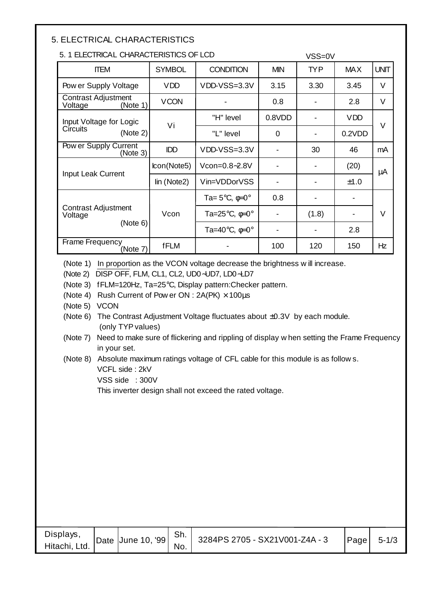#### 5. ELECTRICAL CHARACTERISTICS

| 5.1 ELECTRICAL CHARACTERISTICS OF LCD      |               |                                         | VSS=0V     |            |            |             |
|--------------------------------------------|---------------|-----------------------------------------|------------|------------|------------|-------------|
| <b>ITEM</b>                                | <b>SYMBOL</b> | <b>CONDITION</b>                        | <b>MIN</b> | <b>TYP</b> | <b>MAX</b> | <b>UNIT</b> |
| Pow er Supply Voltage                      | <b>VDD</b>    | VDD-VSS=3.3V                            | 3.15       | 3.30       | 3.45       | V           |
| Contrast Adjustment<br>Voltage<br>(Note 1) | <b>VCON</b>   |                                         | 0.8        |            | 2.8        | V           |
| Input Voltage for Logic                    | Vi            | "H" level                               | 0.8VDD     |            | <b>VDD</b> | V           |
| Circuits<br>(Note 2)                       |               | "L" level                               | $\Omega$   |            | 0.2VDD     |             |
| Pow er Supply Current<br>(Note 3)          | <b>IDD</b>    | VDD-VSS=3.3V                            |            | 30         | 46         | mA          |
| Input Leak Current                         | lcon(Note5)   | Vcon=0.8~2.8V                           |            |            | (20)       | μA          |
|                                            | lin (Note2)   | Vin=VDDorVSS                            |            |            | ±1.0       |             |
|                                            |               | Ta= $5^{\circ}$ C, $\phi$ =0 $^{\circ}$ | 0.8        |            |            |             |
| Contrast Adjustment<br>Voltage             | Vcon          | Ta=25°C, ¢=0°                           |            | (1.8)      |            | V           |
| (Note 6)                                   |               |                                         |            |            | 2.8        |             |
| <b>Frame Frequency</b><br>(Note 7)         | <b>fFLM</b>   |                                         | 100        | 120        | 150        | Hz          |

(Note 1) In proportion as the VCON voltage decrease the brightness w ill increase.

(Note 2) DISP OFF, FLM, CL1, CL2, UD0∼UD7, LD0∼LD7

(Note 3) fFLM=120Hz, Ta=25°C, Display pattern:Checker pattern.

(Note 4) Rush Current of Pow er ON :  $2A(PK) \times 100 \mu s$ 

(Note 5) VCON

(Note 6) The Contrast Adjustment Voltage fluctuates about ±0.3V by each module. (only TYP values)

(Note 7) Need to make sure of flickering and rippling of display w hen setting the Frame Frequency in your set.

#### (Note 8) Absolute maximum ratings voltage of CFL cable for this module is as follow s. VCFL side : 2kV

VSS side : 300V

This inverter design shall not exceed the rated voltage.

| Displays,<br>Hitachi, Ltd. |  | Date June 10, '99 | Sh.<br>No. | 3284PS 2705 - SX21V001-Z4A - 3 | Page | $5 - 1/3$ |
|----------------------------|--|-------------------|------------|--------------------------------|------|-----------|
|----------------------------|--|-------------------|------------|--------------------------------|------|-----------|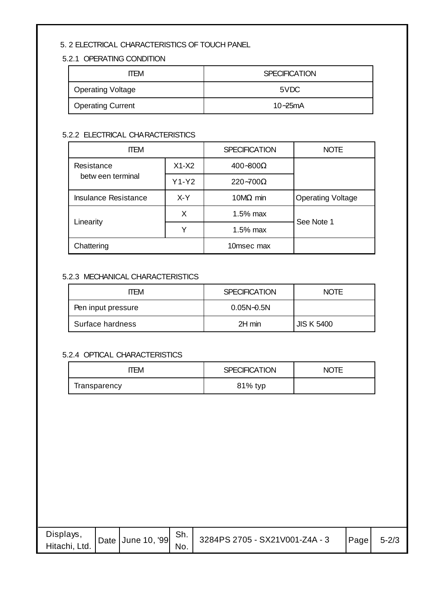#### 5. 2 ELECTRICAL CHARACTERISTICS OF TOUCH PANEL

#### 5.2.1 OPERATING CONDITION

| <b>ITEM</b>              | <b>SPECIFICATION</b> |  |  |  |
|--------------------------|----------------------|--|--|--|
| <b>Operating Voltage</b> | 5VDC                 |  |  |  |
| <b>Operating Current</b> | $10 - 25$ mA         |  |  |  |

#### 5.2.2 ELECTRICAL CHARACTERISTICS

| <b>ITEM</b>                 |                              | <b>SPECIFICATION</b> | <b>NOTE</b>              |
|-----------------------------|------------------------------|----------------------|--------------------------|
| Resistance                  | $X1-X2$<br>$400 - 800\Omega$ |                      |                          |
| betw een terminal           | $Y1-Y2$                      | $220 - 700\Omega$    |                          |
| <b>Insulance Resistance</b> | X-Y<br>10 $M\Omega$ min      |                      | <b>Operating Voltage</b> |
|                             | X                            | 1.5% max             | See Note 1               |
| Linearity                   | Y                            | 1.5% max             |                          |
| Chattering                  |                              | 10msec max           |                          |

#### 5.2.3 MECHANICAL CHARACTERISTICS

| TFM                | <b>SPECIFICATION</b> | <b>NOTE</b>       |
|--------------------|----------------------|-------------------|
| Pen input pressure | $0.05N - 0.5N$       |                   |
| Surface hardness   | 2H min               | <b>JIS K 5400</b> |

#### 5.2.4 OPTICAL CHARACTERISTICS

| `EM.         | <b>SPECIFICATION</b> | <b>NOTE</b> |
|--------------|----------------------|-------------|
| Iransparency | 81% typ              |             |

| Displays,<br>Hitachi, Ltd. | Date June 10, '99 Sh. | No. | 3284PS 2705 - SX21V001-Z4A - 3 | Page | $5 - 2/3$ |
|----------------------------|-----------------------|-----|--------------------------------|------|-----------|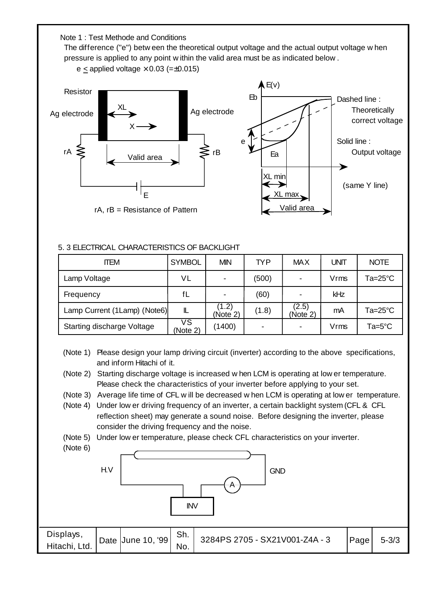Note 1 : Test Methode and Conditions The difference ("e") betw een the theoretical output voltage and the actual output voltage w hen pressure is applied to any point w ithin the valid area must be as indicated below .



#### 5. 3 ELECTRICAL CHARACTERISTICS OF BACKLIGHT

| <b>ITEM</b>                       | <b>SYMBOL</b>  | <b>MIN</b>        | <b>TYP</b>               | <b>MAX</b>               | <b>UNIT</b> | <b>NOTE</b>     |
|-----------------------------------|----------------|-------------------|--------------------------|--------------------------|-------------|-----------------|
| Lamp Voltage                      | VL             |                   | (500)                    | $\overline{\phantom{0}}$ | Vrms        | Ta=25°C         |
| Frequency                         | fL             |                   | (60)                     |                          | kHz         |                 |
| Lamp Current (1Lamp) (Note6)      | IL             | (1.2)<br>(Note 2) | (1.8)                    | (2.5)<br>(Note 2)        | mA          | Ta=25°C         |
| <b>Starting discharge Voltage</b> | ٧S<br>(Note 2) | (1400)            | $\overline{\phantom{0}}$ | $\blacksquare$           | Vrms        | $Ta=5^{\circ}C$ |

(Note 1) Please design your lamp driving circuit (inverter) according to the above specifications, and inform Hitachi of it.

(Note 2) Starting discharge voltage is increased w hen LCM is operating at low er temperature. Please check the characteristics of your inverter before applying to your set.

(Note 3) Average life time of CFL w ill be decreased w hen LCM is operating at low er temperature.

- (Note 4) Under low er driving frequency of an inverter, a certain backlight system (CFL & CFL reflection sheet) may generate a sound noise. Before designing the inverter, please consider the driving frequency and the noise.
- (Note 5) Under low er temperature, please check CFL characteristics on your inverter.

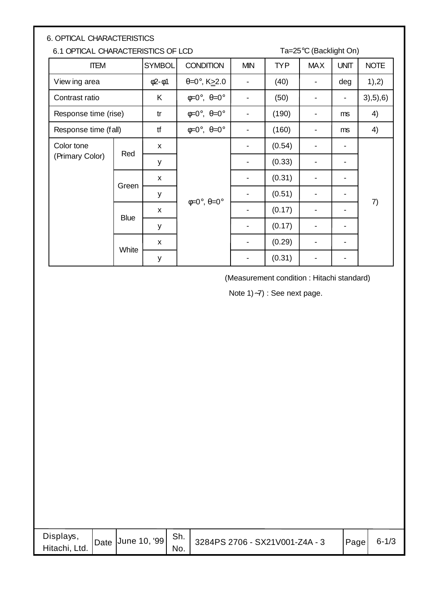| <b>6. OPTICAL CHARACTERISTICS</b>  |                      |                    |                                       |            |            |            |             |             |  |
|------------------------------------|----------------------|--------------------|---------------------------------------|------------|------------|------------|-------------|-------------|--|
| 6.1 OPTICAL CHARACTERISTICS OF LCD |                      |                    | Ta=25°C (Backlight On)                |            |            |            |             |             |  |
| <b>ITEM</b>                        |                      | <b>SYMBOL</b>      | <b>CONDITION</b>                      | <b>MIN</b> | <b>TYP</b> | <b>MAX</b> | <b>UNIT</b> | <b>NOTE</b> |  |
| View ing area                      |                      | $\phi$ 2- $\phi$ 1 | $\theta = 0^\circ$ , K $\geq 2.0$     |            | (40)       |            | deg         | 1),2)       |  |
| Contrast ratio                     |                      | K                  | $\phi = 0^\circ$ , $\theta = 0^\circ$ |            | (50)       |            | -           | 3), 5), 6)  |  |
| Response time (rise)               |                      | tr                 | $\phi = 0^\circ$ , $\theta = 0^\circ$ |            | (190)      |            | ms          | 4)          |  |
|                                    | Response time (fall) |                    | $\phi = 0^\circ$ , $\theta = 0^\circ$ |            | (160)      |            | ms          | 4)          |  |
| Color tone                         |                      | $\mathsf{x}$       |                                       |            | (0.54)     |            |             |             |  |
| (Primary Color)                    | Red                  |                    | y                                     |            |            | (0.33)     |             |             |  |
|                                    | Green                | $\mathsf{x}$       |                                       |            | (0.31)     |            |             |             |  |
|                                    |                      | у                  |                                       |            | (0.51)     |            |             |             |  |
|                                    | <b>Blue</b>          | $\mathsf{x}$       | $\phi = 0^\circ$ , $\theta = 0^\circ$ |            | (0.17)     |            |             | 7)          |  |
|                                    |                      | У                  |                                       |            | (0.17)     |            |             |             |  |
|                                    | White                | $\mathsf{x}$       |                                       |            | (0.29)     |            |             |             |  |
|                                    |                      | У                  |                                       |            | (0.31)     |            |             |             |  |

(Measurement condition : Hitachi standard)

Note 1)∼7) : See next page.

| Displays,<br>Date $\vert$ June 10, '99 $\vert$<br>Hitachi, Ltd. | . Sh. '<br>No. | 3284PS 2706 - SX21V001-Z4A - 3 | Page | $6 - 1/3$ |
|-----------------------------------------------------------------|----------------|--------------------------------|------|-----------|
|-----------------------------------------------------------------|----------------|--------------------------------|------|-----------|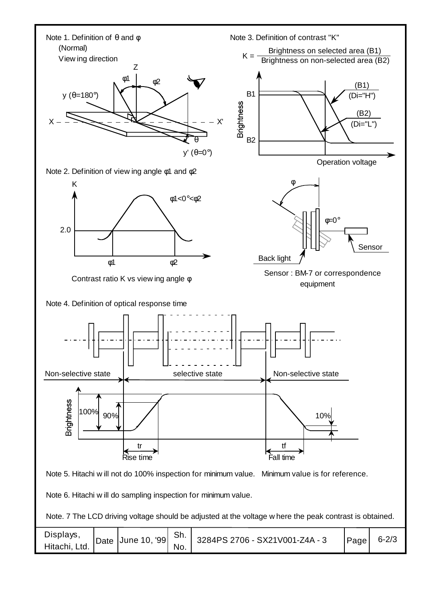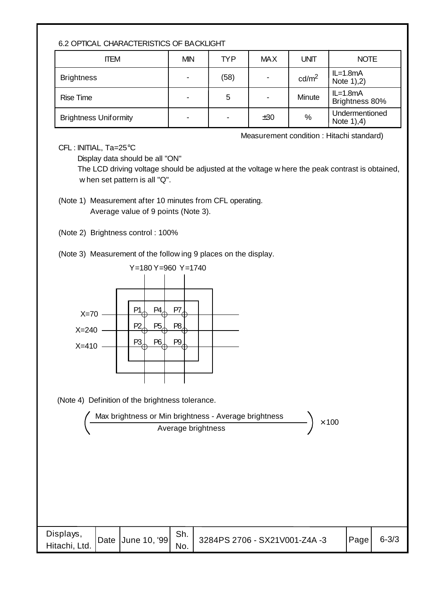#### 6.2 OPTICAL CHARACTERISTICS OF BACKLIGHT

| <b>ITEM</b>                  | <b>MIN</b>               | TYP. | <b>MAX</b> | <b>UNIT</b>       | <b>NOTE</b>                  |
|------------------------------|--------------------------|------|------------|-------------------|------------------------------|
| <b>Brightness</b>            | $\overline{\phantom{0}}$ | (58) |            | cd/m <sup>2</sup> | $IL=1.8mA$<br>Note $1,2)$    |
| <b>Rise Time</b>             | $\overline{\phantom{0}}$ | 5    |            | Minute            | $IL=1.8mA$<br>Brightness 80% |
| <b>Brightness Uniformity</b> | $\,$                     |      | ±30        | %                 | Undermentioned<br>Note $1,4$ |

Measurement condition : Hitachi standard)

CFL : INITIAL, Ta=25°C

Display data should be all "ON"

 The LCD driving voltage should be adjusted at the voltage w here the peak contrast is obtained, w hen set pattern is all "Q".

(Note 2) Brightness control : 100%

(Note 3) Measurement of the follow ing 9 places on the display.





| Displays,<br>Hitachi, Ltd. |  | Sh. | T   Date   June 10, '99   $\frac{311}{N_0}$   3284PS 2706 - SX21V001-Z4A -3 | $\vert$ Page | $6 - 3/3$ |
|----------------------------|--|-----|-----------------------------------------------------------------------------|--------------|-----------|

<sup>(</sup>Note 1) Measurement after 10 minutes from CFL operating. Average value of 9 points (Note 3).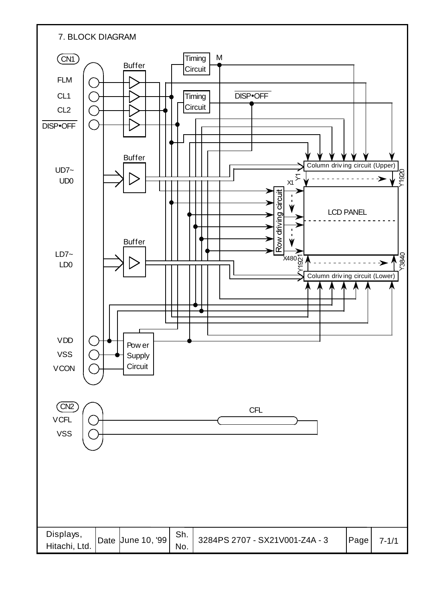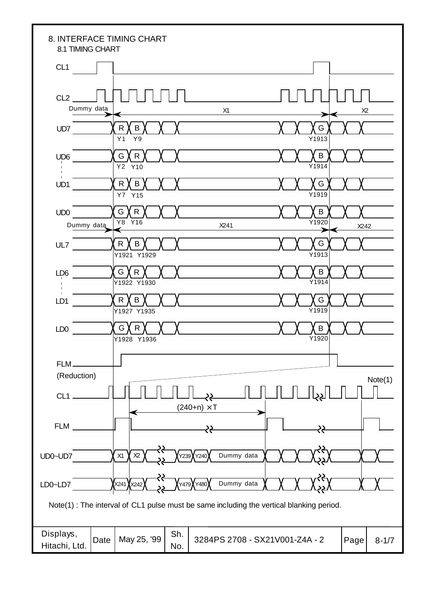| 8. INTERFACE TIMING CHART<br>8.1 TIMING CHART |                                  |                                                                                         |               |                   |
|-----------------------------------------------|----------------------------------|-----------------------------------------------------------------------------------------|---------------|-------------------|
| CL <sub>1</sub>                               |                                  |                                                                                         |               |                   |
| CL <sub>2</sub><br>Dummy data                 |                                  | X1                                                                                      |               | X <sub>2</sub>    |
| UD7                                           | $\mathsf{R}$<br>B<br>Y9<br>Y1    |                                                                                         | G<br>Y1913    |                   |
| UD <sub>6</sub><br>п<br>$\blacksquare$        | G<br>$\mathsf{R}$<br>Y2 Y10      |                                                                                         | B<br>Y1914    |                   |
| $\blacksquare$<br>UD1                         | R<br>B<br>Y7 Y15                 |                                                                                         | G<br>Y1919    |                   |
| UD <sub>0</sub><br>Dummy data                 | G<br>$\mathsf{R}$<br>Y8<br>Y16   | X241                                                                                    | B<br>Y1920    | X242              |
| UL7                                           | $\mathsf{R}$<br>B<br>Y1921 Y1929 |                                                                                         | G<br>Y1913    |                   |
| LD <sub>6</sub><br>$\blacksquare$             | G<br>$\mathsf{R}$<br>Y1922 Y1930 |                                                                                         | B<br>$Y$ 1914 |                   |
| п<br>LD1                                      | $\mathsf{R}$<br>B<br>Y1927 Y1935 |                                                                                         | G<br>Y1919    |                   |
| LD <sub>0</sub>                               | G<br>R<br>Y1928 Y1936            |                                                                                         | B<br>Y1920    |                   |
| FLM-<br>(Reduction)                           |                                  |                                                                                         |               |                   |
| $CL1$ .                                       |                                  | جح                                                                                      |               | Note(1)           |
| <b>FLM</b>                                    |                                  | $(240+n) \times T$                                                                      |               |                   |
| UD0~UD7                                       | X1<br>$X2$                       | Dummy data<br>Y240<br>Y239                                                              |               |                   |
| LD0~LD7                                       | X241 XX242                       | Dummy data<br>Y480<br>Y479                                                              |               |                   |
|                                               |                                  | Note(1): The interval of CL1 pulse must be same including the vertical blanking period. |               |                   |
| Displays,<br>Date<br>Hitachi, Ltd.            | Sh.<br>May 25, '99<br>No.        | 3284PS 2708 - SX21V001-Z4A - 2                                                          |               | Page<br>$8 - 1/7$ |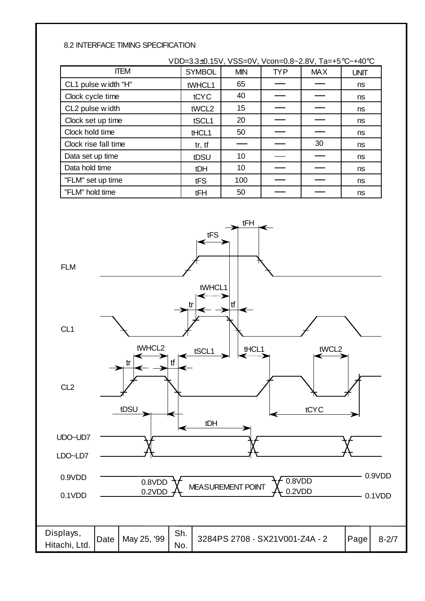#### 8.2 INTERFACE TIMING SPECIFICATION

| VDD=3.3±0.15V, VSS=0V, Vcon=0.8~2.8V, Ta=+5°C~+40°C |               |            |            |            |             |  |  |
|-----------------------------------------------------|---------------|------------|------------|------------|-------------|--|--|
| <b>ITEM</b>                                         | <b>SYMBOL</b> | <b>MIN</b> | <b>TYP</b> | <b>MAX</b> | <b>UNIT</b> |  |  |
| CL1 pulse width "H"                                 | tWHCL1        | 65         |            |            | ns          |  |  |
| Clock cycle time                                    | tCYC          | 40         |            |            | ns          |  |  |
| CL2 pulse width                                     | tWCL2         | 15         |            |            | ns          |  |  |
| Clock set up time                                   | tSCL1         | 20         |            |            | ns          |  |  |
| Clock hold time                                     | tHCL1         | 50         |            |            | ns          |  |  |
| Clock rise fall time                                | tr, tf        |            |            | 30         | ns          |  |  |
| Data set up time                                    | tDSU          | 10         |            |            | ns          |  |  |
| Data hold time                                      | tDH           | 10         |            |            | ns          |  |  |
| "FLM" set up time                                   | tFS           | 100        |            |            | ns          |  |  |
| "FLM" hold time                                     | tFH           | 50         |            |            | ns          |  |  |

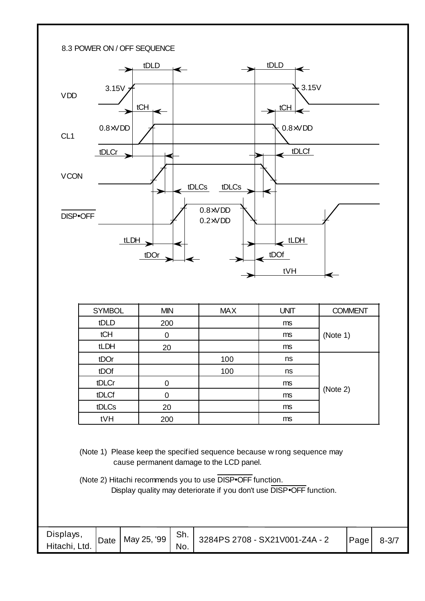

| <b>SYMBOL</b> | <b>MIN</b>  | <b>MAX</b> | <b>UNIT</b> | <b>COMMENT</b> |
|---------------|-------------|------------|-------------|----------------|
| tDLD          | 200         |            | ms          |                |
| tCH           | 0           |            | ms          | (Note 1)       |
| tLDH          | 20          |            | ms          |                |
| tDOr          |             | 100        | ns          |                |
| tDOf          |             | 100        | ns          |                |
| tDLCr         | 0           |            | ms          |                |
| tDLCf         | $\mathbf 0$ |            | ms          | (Note 2)       |
| tDLCs         | 20          |            | ms          |                |
| tVH           | 200         |            | ms          |                |

(Note 1) Please keep the specified sequence because w rong sequence may cause permanent damage to the LCD panel.

(Note 2) Hitachi recommends you to use DISP•OFF function. Display quality may deteriorate if you don't use DISP•OFF function.

| Displays,<br>Hitachi, Ltd. | $\frac{1}{2}$ Pate   May 25, '99   Sh.   2004 PC 27 | No. | 3284PS 2708 - SX21V001-Z4A - 2 | Page | $8 - 3/7$ |
|----------------------------|-----------------------------------------------------|-----|--------------------------------|------|-----------|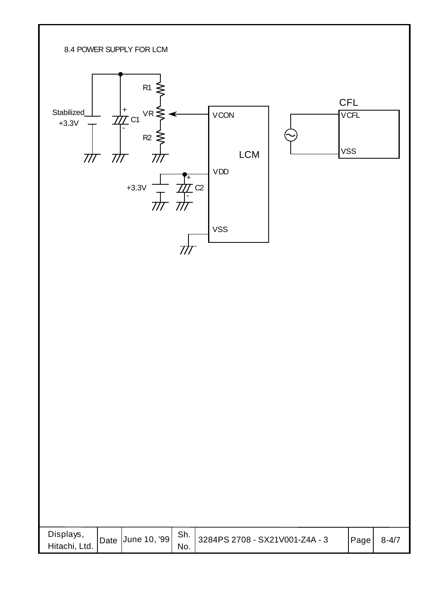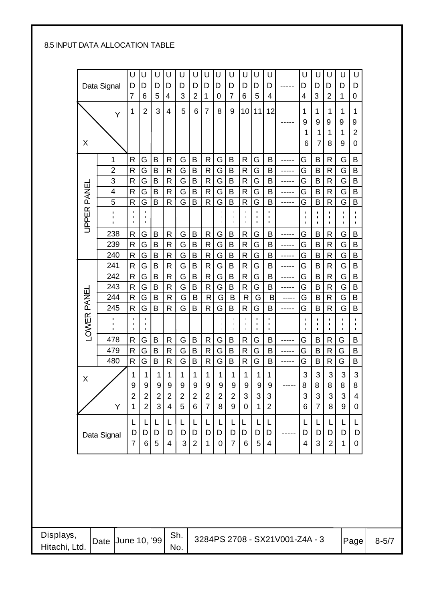#### 8.5 INPUT DATA ALLOCATION TABLE

|             |                                  | U<br>D                                | U<br>D                                             | U                                     | U<br>D                                             | U<br>D                                             | U<br>D                                 | U<br>D                                             | U<br>D                                             | U<br>D                                             | U<br>D                                | U<br>D                                             | U<br>D                                             |       | U<br>D                                             | U<br>D                                | U<br>D                                             | U<br>D                                             | U<br>D                                 |
|-------------|----------------------------------|---------------------------------------|----------------------------------------------------|---------------------------------------|----------------------------------------------------|----------------------------------------------------|----------------------------------------|----------------------------------------------------|----------------------------------------------------|----------------------------------------------------|---------------------------------------|----------------------------------------------------|----------------------------------------------------|-------|----------------------------------------------------|---------------------------------------|----------------------------------------------------|----------------------------------------------------|----------------------------------------|
|             | Data Signal                      | 7                                     | 6                                                  | D<br>5                                | $\overline{4}$                                     | 3                                                  | $\overline{2}$                         | 1                                                  | 0                                                  | $\overline{7}$                                     | 6                                     | 5                                                  | 4                                                  |       | 4                                                  | 3                                     | $\overline{2}$                                     | 1                                                  | 0                                      |
|             | Ý                                | 1                                     | $\overline{2}$                                     | 3                                     | $\overline{\mathcal{A}}$                           | 5                                                  | 6                                      | $\overline{7}$                                     | 8                                                  | 9                                                  | 10                                    | 11                                                 | 12                                                 |       | 1                                                  | 1                                     | 1                                                  | 1                                                  | $\mathbf 1$                            |
|             |                                  |                                       |                                                    |                                       |                                                    |                                                    |                                        |                                                    |                                                    |                                                    |                                       |                                                    |                                                    | ----- | 9                                                  | 9                                     | 9                                                  | 9                                                  | 9                                      |
|             |                                  |                                       |                                                    |                                       |                                                    |                                                    |                                        |                                                    |                                                    |                                                    |                                       |                                                    |                                                    |       | 1                                                  | 1                                     | 1                                                  | 1                                                  | $\overline{2}$                         |
| X           |                                  |                                       |                                                    |                                       |                                                    |                                                    |                                        |                                                    |                                                    |                                                    |                                       |                                                    |                                                    |       | 6                                                  | $\overline{7}$                        | 8                                                  | 9                                                  | 0                                      |
|             | 1                                | $\mathsf{R}$                          | G                                                  | B                                     | R                                                  | G                                                  | B                                      | $\mathsf{R}$                                       | G                                                  | B                                                  | $\mathsf{R}$                          | G                                                  | B                                                  | ----- | G                                                  | B                                     | $\mathsf{R}$                                       | G                                                  | B                                      |
|             | $\overline{2}$                   | $\mathsf{R}$                          | G                                                  | B                                     | R                                                  | G                                                  | B                                      | $\mathsf{R}$                                       | G                                                  | B                                                  | $\mathsf{R}$                          | G                                                  | B                                                  | ----- | G                                                  | B                                     | $\mathsf{R}$                                       | G                                                  | B                                      |
|             | 3                                | $\mathsf{R}$                          | G                                                  | B                                     | R                                                  | G                                                  | B                                      | $\mathsf{R}$                                       | G                                                  | B                                                  | $\mathsf{R}$                          | G                                                  | B                                                  | ----- | G                                                  | B                                     | $\mathsf{R}$                                       | G                                                  | B                                      |
|             | $\overline{\mathbf{4}}$          | $\mathsf{R}$                          | G                                                  | B                                     | $\mathsf{R}$                                       | G                                                  | B                                      | $\mathsf{R}$                                       | G                                                  | B                                                  | $\mathsf{R}$                          | G                                                  | B                                                  | ----- | G                                                  | B                                     | $\mathsf{R}$                                       | G                                                  | B                                      |
|             | 5                                | ${\sf R}$                             | G                                                  | $\sf B$                               | $\mathsf R$                                        | G                                                  | B                                      | $\mathsf{R}$                                       | G                                                  | $\sf B$                                            | $\mathsf{R}$                          | G                                                  | B                                                  | ----- | G                                                  | $\sf B$                               | $\mathsf R$                                        | G                                                  | B                                      |
| UPPER PANEL | $\blacksquare$<br>$\blacksquare$ | п<br>$\blacksquare$<br>$\blacksquare$ | $\blacksquare$<br>٠<br>$\blacksquare$              | п<br>$\blacksquare$                   | $\blacksquare$<br>$\blacksquare$<br>$\blacksquare$ | $\blacksquare$<br>$\blacksquare$<br>$\blacksquare$ | $\blacksquare$<br>T.<br>f,             | $\blacksquare$<br>$\blacksquare$<br>$\blacksquare$ | $\blacksquare$<br>$\blacksquare$                   | ÷.<br>$\blacksquare$<br>$\blacksquare$             | $\blacksquare$<br>п<br>$\blacksquare$ | I.<br>υ.<br>$\blacksquare$                         | $\blacksquare$<br>$\blacksquare$<br>$\blacksquare$ |       | $\blacksquare$<br>I.<br>f,                         | $\blacksquare$<br>п<br>$\blacksquare$ | $\blacksquare$<br>$\blacksquare$<br>$\blacksquare$ | $\blacksquare$<br>$\blacksquare$<br>$\blacksquare$ | $\blacksquare$<br>÷.<br>$\blacksquare$ |
|             | 238                              | $\mathsf{R}$                          | G                                                  | B                                     | $\mathsf{R}$                                       | G                                                  | B                                      | $\mathsf{R}$                                       | G                                                  | B                                                  | $\mathsf{R}$                          | G                                                  | B                                                  | ----- | G                                                  | B                                     | $\mathsf R$                                        | G                                                  | B                                      |
|             | 239                              | $\mathsf{R}$                          | G                                                  | $\sf B$                               | ${\sf R}$                                          | G                                                  | B                                      | ${\sf R}$                                          | G                                                  | B                                                  | $\mathsf{R}$                          | G                                                  | B                                                  | ----- | G                                                  | B                                     | ${\sf R}$                                          | G                                                  | B                                      |
|             | 240                              | $\mathsf{R}$                          | G                                                  | $\sf B$                               | $\mathsf{R}$                                       | G                                                  | $\sf B$                                | $\mathsf{R}$                                       | G                                                  | $\sf B$                                            | $\mathsf{R}$                          | G                                                  | B                                                  | ----- | G                                                  | B                                     | $\mathsf{R}$                                       | G                                                  | B                                      |
|             | 241                              | $\mathsf{R}$                          | G                                                  | B                                     | $\mathsf{R}$                                       | G                                                  | B                                      | $\mathsf{R}$                                       | G                                                  | B                                                  | $\mathsf{R}$                          | G                                                  | B                                                  | ----- | G                                                  | B                                     | R                                                  | G                                                  | B                                      |
|             | 242                              | $\mathsf{R}$                          | G                                                  | B                                     | $\mathsf{R}$                                       | G                                                  | B                                      | $\mathsf{R}$                                       | G                                                  | B                                                  | R                                     | G                                                  | B                                                  | ----- | G                                                  | B                                     | $\mathsf{R}$                                       | G                                                  | B                                      |
|             | 243                              | $\mathsf{R}$                          | G                                                  | B                                     | R                                                  | G                                                  | B                                      | $\mathsf{R}$                                       | G                                                  | B                                                  | $\mathsf{R}$                          | G                                                  | B                                                  | ----- | G                                                  | B                                     | R                                                  | G                                                  | B                                      |
|             | 244                              | $\mathsf{R}$                          | G                                                  | B                                     | R                                                  | G                                                  | B                                      | $\mathsf{R}$                                       | G                                                  | B                                                  | $\mathsf{R}$                          | G                                                  | $\mathsf{B}$                                       | ----- | G                                                  | B                                     | $\mathsf{R}$                                       | G                                                  | B                                      |
|             | 245                              | $\mathsf{R}$                          | G                                                  | B                                     | R                                                  | G                                                  | B                                      | $\mathsf{R}$                                       | G                                                  | B                                                  | $\mathsf{R}$                          | G                                                  | B                                                  | ----- | G                                                  | B                                     | $\mathsf{R}$                                       | G                                                  | B                                      |
| LOWER PANEL |                                  | $\blacksquare$<br>$\blacksquare$      | $\blacksquare$<br>$\blacksquare$<br>$\blacksquare$ | $\blacksquare$<br>$\blacksquare$<br>п | $\blacksquare$<br>$\blacksquare$<br>$\blacksquare$ | $\blacksquare$<br>$\blacksquare$<br>$\blacksquare$ | $\blacksquare$<br>T.<br>$\blacksquare$ | $\blacksquare$<br>п<br>$\blacksquare$              | $\blacksquare$<br>$\blacksquare$<br>$\blacksquare$ | $\blacksquare$<br>$\blacksquare$<br>$\blacksquare$ | $\blacksquare$<br>п<br>$\blacksquare$ | $\blacksquare$<br>$\blacksquare$<br>$\blacksquare$ | $\blacksquare$<br>$\blacksquare$<br>$\blacksquare$ |       | $\blacksquare$<br>$\blacksquare$<br>$\blacksquare$ | п<br>$\blacksquare$<br>f,             | $\blacksquare$<br>$\blacksquare$<br>$\blacksquare$ | $\blacksquare$<br>$\blacksquare$<br>Ť.             | $\blacksquare$<br>$\blacksquare$       |
|             | 478                              | $\mathsf{R}$                          | G                                                  | B                                     | R                                                  | G                                                  | $\sf B$                                | $\mathsf{R}$                                       | G                                                  | $\sf B$                                            | $\mathsf{R}$                          | G                                                  | B                                                  | ----- | G                                                  | B                                     | $\mathsf{R}$                                       | G                                                  | B                                      |
|             | 479                              | $\mathsf{R}$                          | G                                                  | B                                     | $\mathsf R$                                        | G                                                  | $\sf B$                                | $\mathsf{R}$                                       | G                                                  | $\sf B$                                            | $\mathsf{R}$                          | G                                                  | B                                                  | ----- | G                                                  | B                                     | $\mathsf{R}$                                       | G                                                  | B                                      |
|             | 480                              | $\mathsf{R}$                          | G                                                  | $\sf B$                               | R                                                  | G                                                  | B                                      | $\mathsf{R}$                                       | G                                                  | B                                                  | $\mathsf{R}$                          | G                                                  | B                                                  | ----- | G                                                  | B                                     | $\mathsf R$                                        | G                                                  | B                                      |
| Χ           |                                  | 1                                     | 1                                                  | 1                                     | 1                                                  | 1                                                  | 1                                      | 1                                                  | 1                                                  | 1                                                  | 1                                     | 1                                                  | 1                                                  |       | 3                                                  | 3                                     | $\sqrt{3}$                                         | 3                                                  | 3                                      |
|             |                                  | 9                                     | 9 <sup>1</sup>                                     | $\overline{9}$                        | $\boldsymbol{9}$                                   | 9                                                  | $\boldsymbol{9}$                       | $\boldsymbol{9}$                                   | 9                                                  | $\boldsymbol{9}$                                   | $\boldsymbol{9}$                      | $\boldsymbol{9}$                                   | 9                                                  |       | 8                                                  | 8                                     | 8                                                  | 8                                                  | 8                                      |
|             |                                  | $\overline{2}$                        | $\overline{2}$                                     | $\mathbf 2$                           | $\overline{2}$                                     | $\overline{2}$                                     | $\overline{2}$                         | $\overline{2}$                                     | $\overline{2}$                                     | $\overline{2}$                                     | 3                                     | 3                                                  | 3                                                  |       | $\sqrt{3}$                                         | $\mathbf{3}$                          | $\mathfrak{S}$                                     | 3                                                  | $\overline{4}$                         |
|             | Y                                | 1                                     | $\overline{2}$                                     | 3                                     | 4                                                  | 5                                                  | 6                                      | $\overline{7}$                                     | 8                                                  | 9                                                  | $\pmb{0}$                             | 1                                                  | $\overline{2}$                                     |       | 6                                                  | $\overline{7}$                        | 8 <sup>1</sup>                                     | $\boldsymbol{9}$                                   | $\mathbf 0$                            |
|             |                                  | L                                     | L                                                  | L                                     | L                                                  | L                                                  |                                        | L                                                  | L                                                  |                                                    | L                                     | L                                                  | L                                                  |       | L                                                  |                                       | L                                                  | L                                                  | L                                      |
|             | Data Signal                      | D                                     | D                                                  | D                                     | D                                                  | D                                                  | D                                      | D                                                  | D                                                  | D                                                  | D                                     | D                                                  | D                                                  |       | D                                                  | D                                     | D                                                  | D                                                  | D                                      |
|             |                                  | 7                                     | 6                                                  | $\overline{5}$                        | 4                                                  | 3 <sup>1</sup>                                     | 2                                      | 1                                                  | 0                                                  | $\overline{7}$                                     | 6                                     | $\sqrt{5}$                                         | 4                                                  |       | $\overline{4}$                                     | 3                                     | $\overline{2}$                                     | 1                                                  | 0                                      |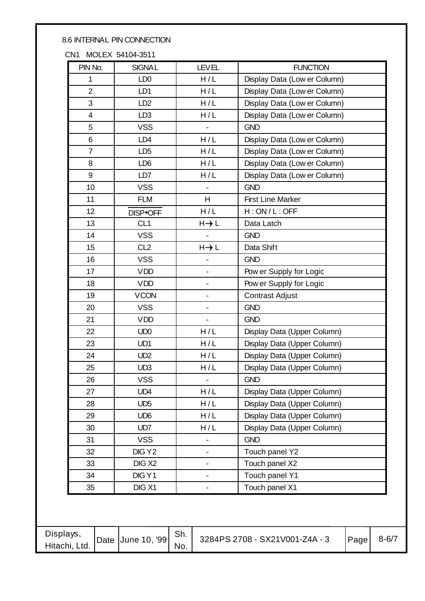#### 8.6 INTERNAL PIN CONNECTION

CN1 MOLEX 54104-3511

| PIN No.                 | <b>SIGNAL</b>      | <b>LEVEL</b>                 | <b>FUNCTION</b>              |
|-------------------------|--------------------|------------------------------|------------------------------|
| 1                       | LD <sub>0</sub>    | H/L                          | Display Data (Low er Column) |
| $\overline{2}$          | LD <sub>1</sub>    | H/L                          | Display Data (Low er Column) |
| 3                       | LD <sub>2</sub>    | H/L                          | Display Data (Low er Column) |
| $\overline{\mathbf{4}}$ | LD <sub>3</sub>    | H/L                          | Display Data (Low er Column) |
| 5                       | <b>VSS</b>         | $\frac{1}{2}$                | <b>GND</b>                   |
| 6                       | LD <sub>4</sub>    | H/L                          | Display Data (Low er Column) |
| $\overline{7}$          | LD <sub>5</sub>    | H/L                          | Display Data (Low er Column) |
| 8                       | LD <sub>6</sub>    | H/L                          | Display Data (Low er Column) |
| 9                       | LD7                | H/L                          | Display Data (Low er Column) |
| 10                      | <b>VSS</b>         |                              | <b>GND</b>                   |
| 11                      | <b>FLM</b>         | H                            | <b>First Line Marker</b>     |
| 12                      | DISP.OFF           | H/L                          | H:ON/L:OFF                   |
| 13                      | CL <sub>1</sub>    | $H \rightarrow L$            | Data Latch                   |
| 14                      | <b>VSS</b>         |                              | <b>GND</b>                   |
| 15                      | CL <sub>2</sub>    | $H \rightarrow L$            | Data Shift                   |
| 16                      | <b>VSS</b>         |                              | <b>GND</b>                   |
| 17                      | <b>VDD</b>         | $\qquad \qquad \blacksquare$ | Pow er Supply for Logic      |
| 18                      | <b>VDD</b>         | $\overline{\phantom{0}}$     | Pow er Supply for Logic      |
| 19                      | <b>VCON</b>        | $\overline{\phantom{0}}$     | <b>Contrast Adjust</b>       |
| 20                      | <b>VSS</b>         | $\qquad \qquad \blacksquare$ | <b>GND</b>                   |
| 21                      | <b>VDD</b>         |                              | <b>GND</b>                   |
| 22                      | UD <sub>0</sub>    | H/L                          | Display Data (Upper Column)  |
| 23                      | UD1                | H/L                          | Display Data (Upper Column)  |
| 24                      | UD <sub>2</sub>    | H/L                          | Display Data (Upper Column)  |
| 25                      | UD <sub>3</sub>    | H/L                          | Display Data (Upper Column)  |
| 26                      | <b>VSS</b>         |                              | <b>GND</b>                   |
| 27                      | UD4                | H/L                          | Display Data (Upper Column)  |
| 28                      | UD <sub>5</sub>    | H/L                          | Display Data (Upper Column)  |
| 29                      | UD <sub>6</sub>    | H/L                          | Display Data (Upper Column)  |
| 30                      | UD <sub>7</sub>    | H/L                          | Display Data (Upper Column)  |
| 31                      | <b>VSS</b>         |                              | <b>GND</b>                   |
| 32                      | DIG Y2             | $\overline{\phantom{0}}$     | Touch panel Y2               |
| 33                      | DIG X <sub>2</sub> | $\overline{\phantom{0}}$     | Touch panel X2               |
| 34                      | DIG Y1             |                              | Touch panel Y1               |
| 35                      | DIG X1             |                              | Touch panel X1               |

| Displays,<br>Hitachi, Ltd. |  | Date June 10, '99 | Sh.<br>No. | 3284PS 2708 - SX21V001-Z4A - 3 | Page | $8 - 6/7$ |
|----------------------------|--|-------------------|------------|--------------------------------|------|-----------|
|----------------------------|--|-------------------|------------|--------------------------------|------|-----------|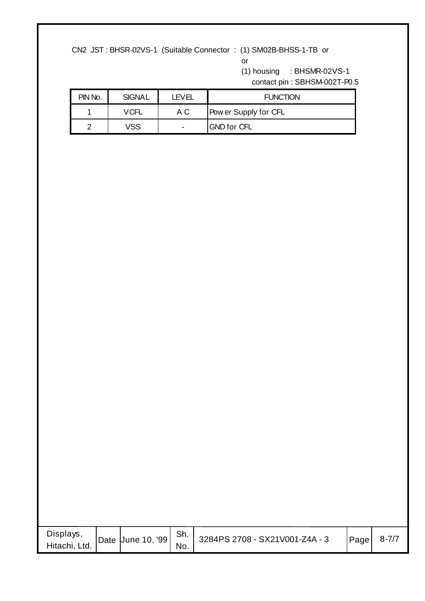CN2 JST : BHSR-02VS-1 (Suitable Connector : (1) SM02B-BHSS-1-TB or

or

(1) housing : BHSMR-02VS-1

contact pin : SBHSM-002T-P0.5

| PIN No. | <b>SIGNAL</b> | <b>LEVEL</b>             | <b>FUNCTION</b>       |  |  |  |  |
|---------|---------------|--------------------------|-----------------------|--|--|--|--|
|         | VCFL          | A C                      | Pow er Supply for CFL |  |  |  |  |
|         | VSS           | $\overline{\phantom{0}}$ | <b>GND for CFL</b>    |  |  |  |  |

| Displays,<br>Hitachi, Ltd. |  | Date June 10, '99 | Sh.<br>No. | 3284PS 2708 - SX21V001-Z4A - 3 | Page | $8 - 7/7$ |
|----------------------------|--|-------------------|------------|--------------------------------|------|-----------|
|----------------------------|--|-------------------|------------|--------------------------------|------|-----------|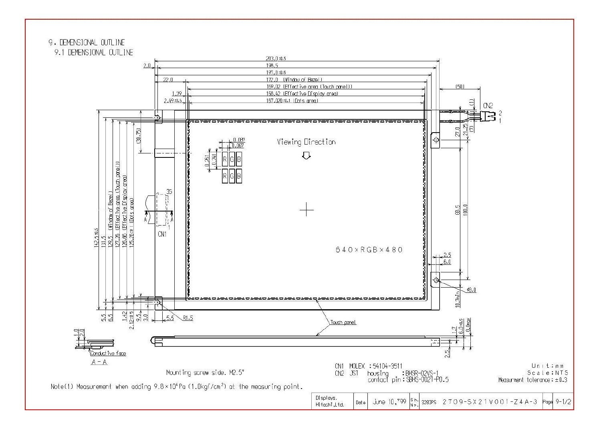9. DEMENSIONAL OUTLINE

9.1 DEMENSIONAL OUTLINE

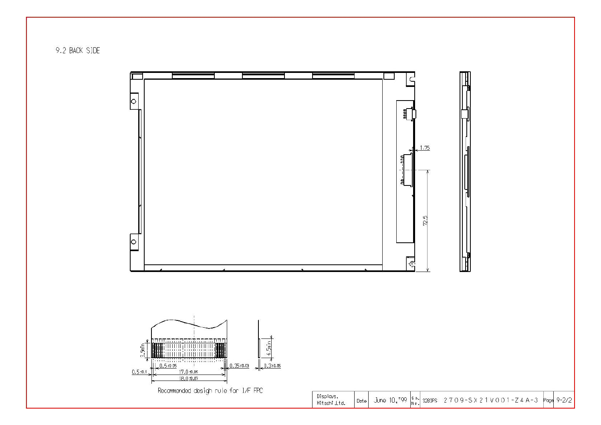9.2 BACK SIDE



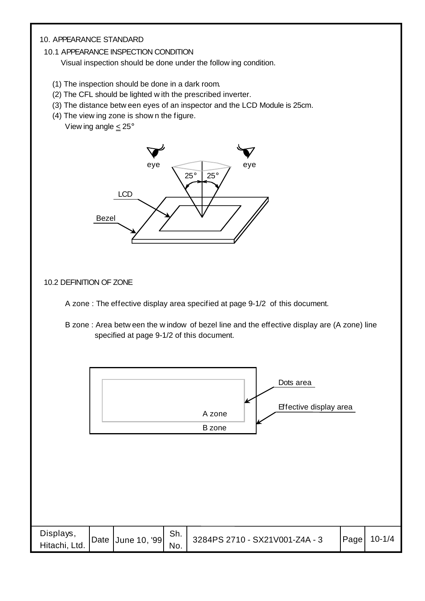#### 10. APPEARANCE STANDARD

#### 10.1 APPEARANCE INSPECTION CONDITION

Visual inspection should be done under the follow ing condition.

- (1) The inspection should be done in a dark room.
- (2) The CFL should be lighted w ith the prescribed inverter.
- (3) The distance betw een eyes of an inspector and the LCD Module is 25cm.
- (4) The view ing zone is show n the figure. View ing angle  $\leq 25^\circ$



#### 10.2 DEFINITION OF ZONE

A zone : The effective display area specified at page 9-1/2 of this document.

 B zone : Area betw een the w indow of bezel line and the effective display are (A zone) line specified at page 9-1/2 of this document.

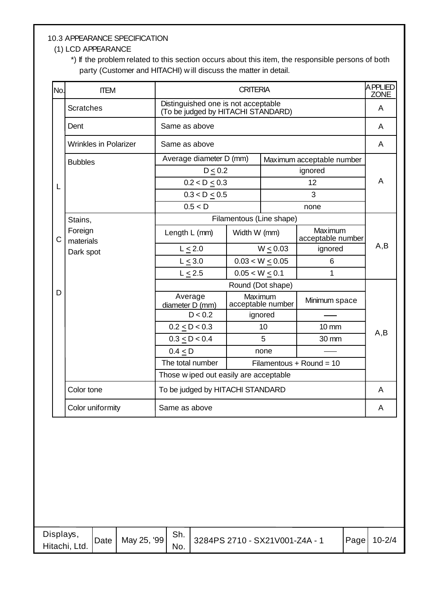#### 10.3 APPEARANCE SPECIFICATION

#### (1) LCD APPEARANCE

 \*) If the problem related to this section occurs about this item, the responsible persons of both party (Customer and HITACHI) w ill discuss the matter in detail.

| No.          | <b>ITEM</b>                  |                                                                           | <b>CRITERIA</b>    |                              |                              | APPLIED<br><b>ZONE</b> |  |
|--------------|------------------------------|---------------------------------------------------------------------------|--------------------|------------------------------|------------------------------|------------------------|--|
|              | <b>Scratches</b>             | Distinguished one is not acceptable<br>(To be judged by HITACHI STANDARD) |                    |                              |                              | A                      |  |
|              | Dent                         | Same as above                                                             |                    |                              |                              | A                      |  |
|              | <b>Wrinkles in Polarizer</b> | Same as above                                                             |                    |                              |                              | A                      |  |
|              | <b>Bubbles</b>               | Average diameter D (mm)                                                   |                    |                              | Maximum acceptable number    |                        |  |
|              |                              | D < 0.2                                                                   |                    |                              | ignored                      |                        |  |
| L            |                              | 0.2 < D < 0.3                                                             |                    |                              | 12                           | A                      |  |
|              |                              | $0.3 < D \le 0.5$                                                         |                    |                              | 3                            |                        |  |
|              |                              | 0.5 < D                                                                   |                    |                              | none                         |                        |  |
|              | Stains,                      | Filamentous (Line shape)                                                  |                    |                              |                              |                        |  |
| $\mathsf{C}$ | Foreign<br>materials         | Length L (mm)                                                             | Width W (mm)       |                              | Maximum<br>acceptable number |                        |  |
|              | Dark spot                    | $L \leq 2.0$                                                              | $W \le 0.03$       |                              | ignored                      | A,B                    |  |
|              |                              | $L \leq 3.0$                                                              |                    | $0.03 < W \le 0.05$          | 6                            |                        |  |
|              |                              | $L \leq 2.5$                                                              | $0.05 < W \le 0.1$ |                              | 1                            |                        |  |
|              |                              |                                                                           |                    | Round (Dot shape)            |                              |                        |  |
| D            |                              | Average<br>diameter D (mm)                                                |                    | Maximum<br>acceptable number | Minimum space                |                        |  |
|              |                              | D < 0.2                                                                   |                    | ignored                      |                              |                        |  |
|              |                              | $0.2 \le D < 0.3$                                                         |                    | 10                           | $10 \, \text{mm}$            | A,B                    |  |
|              |                              | $0.3 \le D < 0.4$                                                         |                    | 5                            | 30 mm                        |                        |  |
|              |                              | $0.4 \leq D$                                                              |                    | none                         |                              |                        |  |
|              |                              | The total number                                                          |                    |                              | Filamentous + Round = $10$   |                        |  |
|              |                              | Those w iped out easily are acceptable                                    |                    |                              |                              |                        |  |
|              | Color tone                   | To be judged by HITACHI STANDARD                                          |                    |                              |                              | A                      |  |
|              | Color uniformity             | Same as above                                                             |                    |                              |                              | A                      |  |

| Displays,<br>Hitachi, Ltd. | Date | May 25, '99 | Sh.<br>No. | 3284PS 2710 - SX21V001-Z4A - 1 | Page | $10 - 2/4$ |
|----------------------------|------|-------------|------------|--------------------------------|------|------------|
|----------------------------|------|-------------|------------|--------------------------------|------|------------|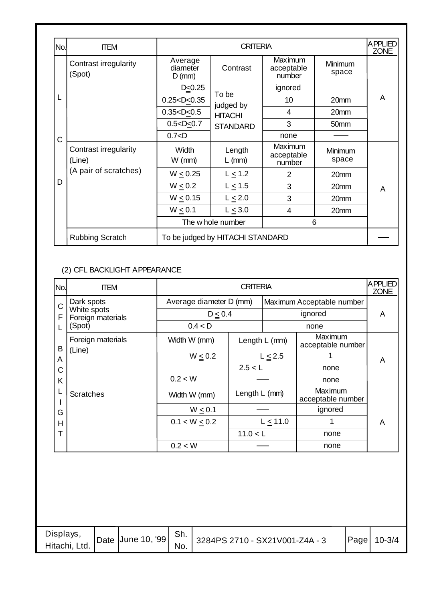| No. | <b>ITEM</b>                     |                                 | <b>CRITERIA</b>                  |                                                     |                  | <b>APPLIED</b><br><b>ZONE</b> |  |  |
|-----|---------------------------------|---------------------------------|----------------------------------|-----------------------------------------------------|------------------|-------------------------------|--|--|
|     | Contrast irregularity<br>(Spot) | Average<br>diameter<br>$D$ (mm) | Contrast                         | Maximum<br>Minimum<br>acceptable<br>space<br>number |                  |                               |  |  |
|     |                                 | D < 0.25                        |                                  | ignored                                             |                  |                               |  |  |
|     |                                 | $0.25 < D \le 0.35$             | To be<br>judged by               | 10                                                  | 20mm             | A                             |  |  |
|     |                                 | 0.35 < D < 0.5                  | <b>HITACHI</b>                   | $\overline{4}$                                      | 20mm             |                               |  |  |
|     |                                 | $0.5 < D \le 0.7$               | <b>STANDARD</b>                  | 3                                                   | 50mm             |                               |  |  |
| C   |                                 | 0.7 < D                         |                                  | none                                                |                  |                               |  |  |
|     | Contrast irregularity<br>(Line) | <b>Width</b><br>$W$ (mm)        | Length<br>$L$ (mm)               | Maximum<br>acceptable<br>number                     | Minimum<br>space |                               |  |  |
|     | (A pair of scratches)           | $W \le 0.25$                    | $L \leq 1.2$                     | 2                                                   | 20mm             |                               |  |  |
| D   |                                 | $W \leq 0.2$                    | $L \leq 1.5$                     | 3                                                   | 20mm             | A                             |  |  |
|     |                                 | $W \le 0.15$                    | $L \leq 2.0$                     | 3                                                   | 20mm             |                               |  |  |
|     |                                 | $W \leq 0.1$                    | $L \leq 3.0$                     | 4                                                   | 20mm             |                               |  |  |
|     |                                 |                                 | The w hole number                | 6                                                   |                  |                               |  |  |
|     | <b>Rubbing Scratch</b>          |                                 | To be judged by HITACHI STANDARD |                                                     |                  |                               |  |  |

#### (2) CFL BACKLIGHT APPEARANCE

| No. | <b>ITEM</b>                      | <b>CRITERIA</b>         |          |               |                              |   |  |
|-----|----------------------------------|-------------------------|----------|---------------|------------------------------|---|--|
| C   | Dark spots                       | Average diameter D (mm) |          |               | Maximum Acceptable number    |   |  |
| F   | White spots<br>Foreign materials | $D \leq 0.4$            |          | ignored       |                              |   |  |
|     | (Spot)                           | 0.4 < D                 |          |               | none                         |   |  |
| B   | Foreign materials                | Width W (mm)            |          | Length L (mm) | Maximum<br>acceptable number |   |  |
| A   | (Line)                           | $W \leq 0.2$            |          | $L \leq 2.5$  |                              | A |  |
| С   |                                  |                         | 2.5 < L  |               | none                         |   |  |
| K   |                                  | 0.2 < W                 |          |               | none                         |   |  |
|     | <b>Scratches</b>                 | Width W (mm)            |          | Length L (mm) | Maximum<br>acceptable number |   |  |
| G   |                                  | $W \leq 0.1$            |          |               | ignored                      |   |  |
| Н   |                                  | $0.1 < W \le 0.2$       |          | $L \leq 11.0$ |                              | A |  |
| Т   |                                  |                         | 11.0 < L |               | none                         |   |  |
|     |                                  | 0.2 < W                 |          |               | none                         |   |  |

| Displays,<br>Hitachi, Ltd. | Date June 10, '99 | Sh.<br>No. | 3284PS 2710 - SX21V001-Z4A - 3 | Page | $10 - 3/4$ |
|----------------------------|-------------------|------------|--------------------------------|------|------------|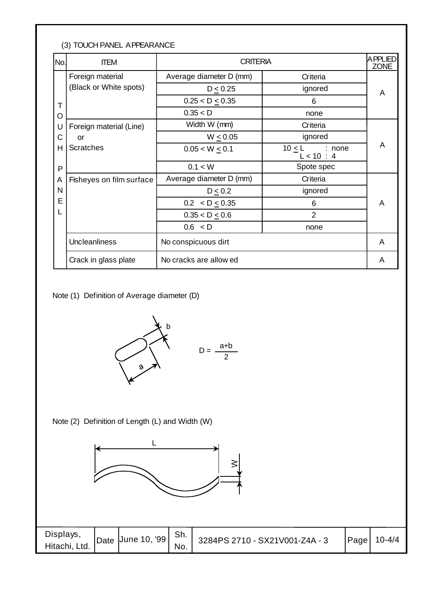#### (3) TOUCH PANEL APPEARANCE

| No. | <b>ITEM</b>              | <b>CRITERIA</b>         |                                     | <b>APPLIED</b><br><b>ZONE</b> |
|-----|--------------------------|-------------------------|-------------------------------------|-------------------------------|
|     | Foreign material         | Average diameter D (mm) | Criteria                            |                               |
|     | (Black or White spots)   | $D \leq 0.25$           | ignored                             | A                             |
| T   |                          | $0.25 < D \le 0.35$     | 6                                   |                               |
| O   |                          | 0.35 < D                | none                                |                               |
| U   | Foreign material (Line)  | Width W (mm)            | Criteria                            |                               |
| C   | or                       | $W \leq 0.05$           | ignored                             |                               |
| н   | <b>Scratches</b>         | $0.05 < W \le 0.1$      | $10 \leq L$<br>: none<br>L < 10 : 4 | A                             |
| P   |                          | 0.1 < W                 | Spote spec                          |                               |
| A   | Fisheyes on film surface | Average diameter D (mm) | Criteria                            |                               |
| N   |                          | $D \leq 0.2$            | ignored                             |                               |
| E   |                          | $0.2 < D \le 0.35$      | 6                                   | A                             |
|     |                          | $0.35 < D \le 0.6$      | 2                                   |                               |
|     |                          | 0.6 < D                 | none                                |                               |
|     | Uncleanliness            | No conspicuous dirt     |                                     | A                             |
|     | Crack in glass plate     | No cracks are allow ed  |                                     | A                             |

Note (1) Definition of Average diameter (D)



Note (2) Definition of Length (L) and Width (W)



| Displays,<br>Hitachi, Ltd. | Date June 10, '99   ' | Sh.<br>No. | 3284PS 2710 - SX21V001-Z4A - 3 | $\vert$ Page $\vert$ | $10 - 4/4$ |
|----------------------------|-----------------------|------------|--------------------------------|----------------------|------------|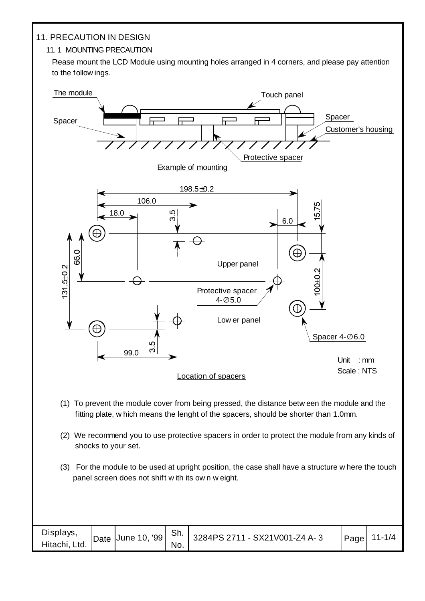#### 11. PRECAUTION IN DESIGN

#### 11. 1 MOUNTING PRECAUTION

Please mount the LCD Module using mounting holes arranged in 4 corners, and please pay attention to the follow ings.



(3) For the module to be used at upright position, the case shall have a structure w here the touch panel screen does not shift w ith its ow n w eight.

| Displays,<br>Hitachi, Ltd. | Date June 10, '99 Sh. | No. | 3284PS 2711 - SX21V001-Z4 A-3 | Page | $11 - 1/4$ |
|----------------------------|-----------------------|-----|-------------------------------|------|------------|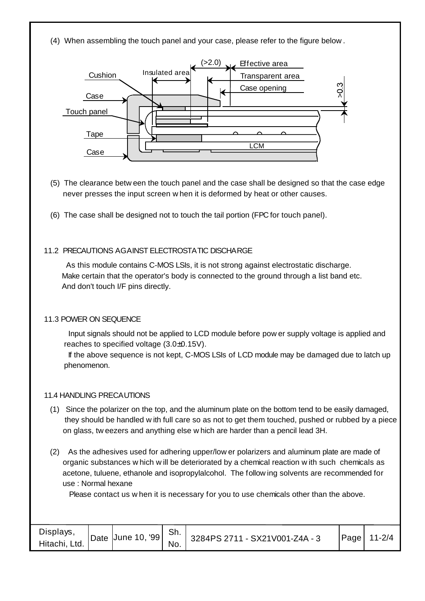(4) When assembling the touch panel and your case, please refer to the figure below .



- (5) The clearance betw een the touch panel and the case shall be designed so that the case edge never presses the input screen w hen it is deformed by heat or other causes.
- (6) The case shall be designed not to touch the tail portion (FPC for touch panel).

#### 11.2 PRECAUTIONS AGAINST ELECTROSTATIC DISCHARGE

 As this module contains C-MOS LSIs, it is not strong against electrostatic discharge. Make certain that the operator's body is connected to the ground through a list band etc. And don't touch I/F pins directly.

#### 11.3 POWER ON SEQUENCE

 Input signals should not be applied to LCD module before pow er supply voltage is applied and reaches to specified voltage (3.0±0.15V).

 If the above sequence is not kept, C-MOS LSIs of LCD module may be damaged due to latch up phenomenon.

#### 11.4 HANDLING PRECAUTIONS

- (1) Since the polarizer on the top, and the aluminum plate on the bottom tend to be easily damaged, they should be handled w ith full care so as not to get them touched, pushed or rubbed by a piece on glass, tw eezers and anything else w hich are harder than a pencil lead 3H.
- (2) As the adhesives used for adhering upper/low er polarizers and aluminum plate are made of organic substances w hich w ill be deteriorated by a chemical reaction w ith such chemicals as acetone, tuluene, ethanole and isopropylalcohol. The follow ing solvents are recommended for use : Normal hexane

Please contact us w hen it is necessary for you to use chemicals other than the above.

| Displays,<br>Hitachi, Ltd. | Date June 10, '99 | Sh.<br>No. | 3284PS 2711 - SX21V001-Z4A - 3 | Page | $11 - 2/4$ |
|----------------------------|-------------------|------------|--------------------------------|------|------------|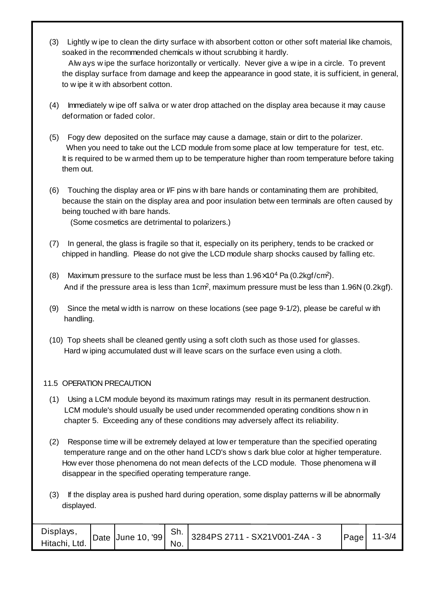(3) Lightly w ipe to clean the dirty surface w ith absorbent cotton or other soft material like chamois, soaked in the recommended chemicals w ithout scrubbing it hardly.

 Alw ays w ipe the surface horizontally or vertically. Never give a w ipe in a circle. To prevent the display surface from damage and keep the appearance in good state, it is sufficient, in general, to w ipe it w ith absorbent cotton.

- (4) Immediately w ipe off saliva or w ater drop attached on the display area because it may cause deformation or faded color.
- (5) Fogy dew deposited on the surface may cause a damage, stain or dirt to the polarizer. When you need to take out the LCD module from some place at low temperature for test, etc. It is required to be w armed them up to be temperature higher than room temperature before taking them out.
- (6) Touching the display area or I/F pins w ith bare hands or contaminating them are prohibited, because the stain on the display area and poor insulation betw een terminals are often caused by being touched w ith bare hands.

(Some cosmetics are detrimental to polarizers.)

- (7) In general, the glass is fragile so that it, especially on its periphery, tends to be cracked or chipped in handling. Please do not give the LCD module sharp shocks caused by falling etc.
- (8) Maximum pressure to the surface must be less than  $1.96 \times 10^4$  Pa (0.2kgf/cm<sup>2</sup>). And if the pressure area is less than 1cm<sup>2</sup>, maximum pressure must be less than 1.96N (0.2kgf).
- (9) Since the metal w idth is narrow on these locations (see page 9-1/2), please be careful w ith handling.
- (10) Top sheets shall be cleaned gently using a soft cloth such as those used for glasses. Hard w iping accumulated dust w ill leave scars on the surface even using a cloth.

#### 11.5 OPERATION PRECAUTION

- (1) Using a LCM module beyond its maximum ratings may result in its permanent destruction. LCM module's should usually be used under recommended operating conditions show n in chapter 5. Exceeding any of these conditions may adversely affect its reliability.
- (2) Response time w ill be extremely delayed at low er temperature than the specified operating temperature range and on the other hand LCD's show s dark blue color at higher temperature. How ever those phenomena do not mean defects of the LCD module. Those phenomena w ill disappear in the specified operating temperature range.
- (3) If the display area is pushed hard during operation, some display patterns w ill be abnormally displayed.

| Displays,<br>Hitachi, Ltd. | $\vert$ Date $\vert$ June 10, '99 $\vert$ | Sh.<br>No. | 3284PS 2711 - SX21V001-Z4A - 3 | Page | $11 - 3/4$ |
|----------------------------|-------------------------------------------|------------|--------------------------------|------|------------|
|----------------------------|-------------------------------------------|------------|--------------------------------|------|------------|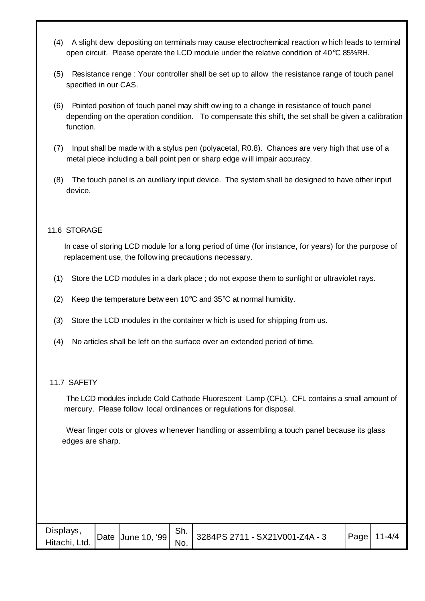- (4) A slight dew depositing on terminals may cause electrochemical reaction w hich leads to terminal open circuit. Please operate the LCD module under the relative condition of 40°C 85%RH.
- (5) Resistance renge : Your controller shall be set up to allow the resistance range of touch panel specified in our CAS.
- (6) Pointed position of touch panel may shift ow ing to a change in resistance of touch panel depending on the operation condition. To compensate this shift, the set shall be given a calibration function.
- (7) Input shall be made w ith a stylus pen (polyacetal, R0.8). Chances are very high that use of a metal piece including a ball point pen or sharp edge w ill impair accuracy.
- (8) The touch panel is an auxiliary input device. The system shall be designed to have other input device.

#### 11.6 STORAGE

 In case of storing LCD module for a long period of time (for instance, for years) for the purpose of replacement use, the follow ing precautions necessary.

- (1) Store the LCD modules in a dark place ; do not expose them to sunlight or ultraviolet rays.
- (2) Keep the temperature betw een  $10^{\circ}$ C and  $35^{\circ}$ C at normal humidity.
- (3) Store the LCD modules in the container w hich is used for shipping from us.
- (4) No articles shall be left on the surface over an extended period of time.

#### 11.7 SAFETY

 The LCD modules include Cold Cathode Fluorescent Lamp (CFL). CFL contains a small amount of mercury. Please follow local ordinances or regulations for disposal.

 Wear finger cots or gloves w henever handling or assembling a touch panel because its glass edges are sharp.

| Displays,     |  | Sh. |                                                                              | $\textsf{Page}$ 11-4/4 |
|---------------|--|-----|------------------------------------------------------------------------------|------------------------|
| Hitachi, Ltd. |  |     | T   Date   June 10, '99   $\frac{311}{N_0}$   3284PS 2711 - SX21V001-Z4A - 3 |                        |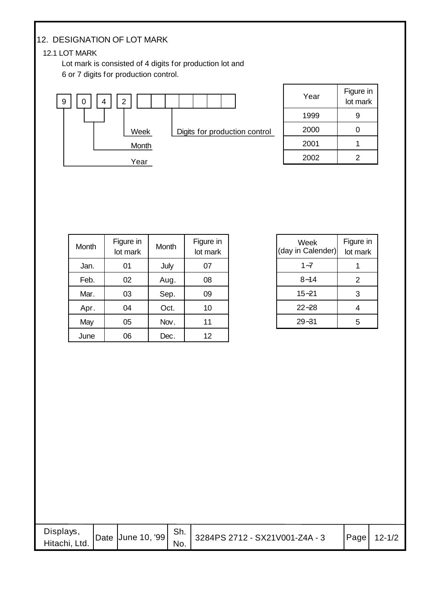#### 12. DESIGNATION OF LOT MARK

#### 12.1 LOT MARK

 Lot mark is consisted of 4 digits for production lot and 6 or 7 digits for production control.



| Year | Figure in<br>lot mark |
|------|-----------------------|
| 1999 | 9                     |
| 2000 | U                     |
| 2001 |                       |
| 2002 | 2                     |

| Month | Figure in<br>lot mark | Month | Figure in<br>lot mark |
|-------|-----------------------|-------|-----------------------|
| Jan.  | 01                    | July  | 07                    |
| Feb.  | 02                    | Aug.  | 08                    |
| Mar.  | 03                    | Sep.  | 09                    |
| Apr.  | 04                    | Oct.  | 10                    |
| May   | 05                    | Nov.  | 11                    |
| June  | 06                    | Dec.  | 12                    |

| Figure in<br>lot mark |
|-----------------------|
|                       |
| 2                     |
| 3                     |
| 4                     |
| 5                     |
|                       |

| Displays,<br>Hitachi, Ltd. | Date June 10, '99 | Sh.<br>No. | 3284PS 2712 - SX21V001-Z4A - 3 | Page 12-1/2 |
|----------------------------|-------------------|------------|--------------------------------|-------------|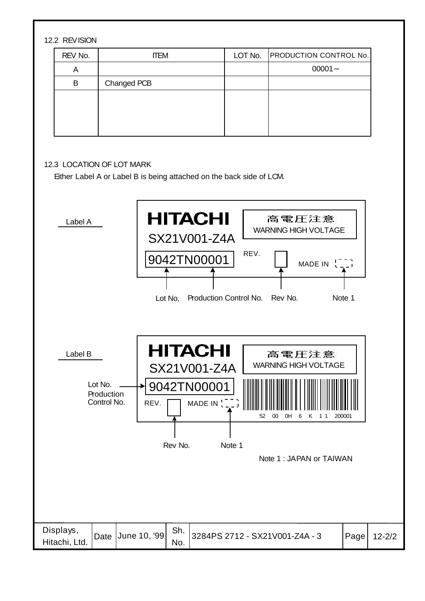#### 12.2 REVISION

| REV No. | <b>ITEM</b> | LOT No. | <b>PRODUCTION CONTROL No.</b> |
|---------|-------------|---------|-------------------------------|
| A       |             |         | $00001 -$                     |
| В       | Changed PCB |         |                               |
|         |             |         |                               |
|         |             |         |                               |
|         |             |         |                               |
|         |             |         |                               |

#### 12.3 LOCATION OF LOT MARK

Either Label A or Label B is being attached on the back side of LCM.